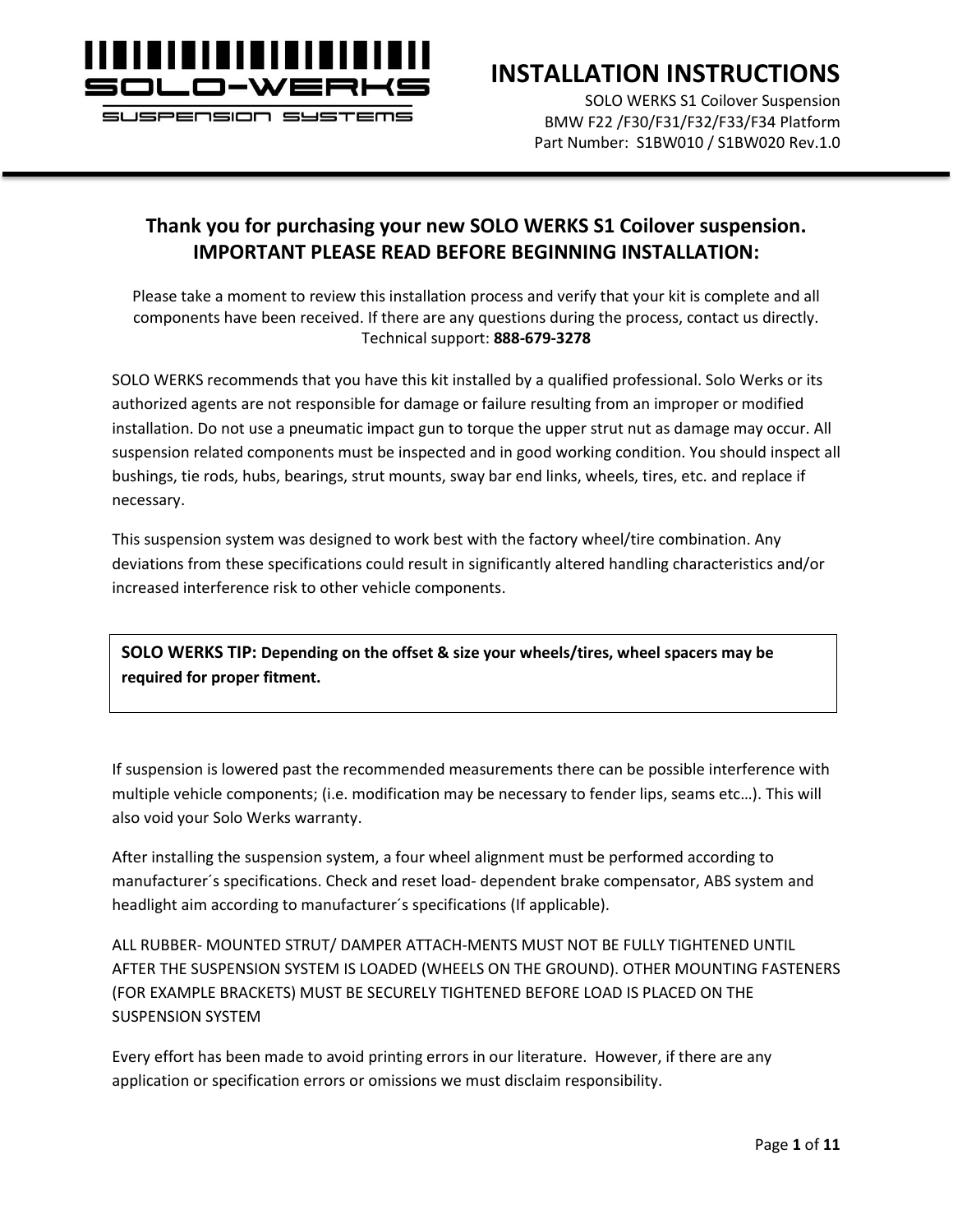

### **INSTALLATION INSTRUCTIONS**

SOLO WERKS S1 Coilover Suspension BMW F22 /F30/F31/F32/F33/F34 Platform Part Number: S1BW010 / S1BW020 Rev.1.0

### **Thank you for purchasing your new SOLO WERKS S1 Coilover suspension. IMPORTANT PLEASE READ BEFORE BEGINNING INSTALLATION:**

Please take a moment to review this installation process and verify that your kit is complete and all components have been received. If there are any questions during the process, contact us directly. Technical support: **888-679-3278**

SOLO WERKS recommends that you have this kit installed by a qualified professional. Solo Werks or its authorized agents are not responsible for damage or failure resulting from an improper or modified installation. Do not use a pneumatic impact gun to torque the upper strut nut as damage may occur. All suspension related components must be inspected and in good working condition. You should inspect all bushings, tie rods, hubs, bearings, strut mounts, sway bar end links, wheels, tires, etc. and replace if necessary.

This suspension system was designed to work best with the factory wheel/tire combination. Any deviations from these specifications could result in significantly altered handling characteristics and/or increased interference risk to other vehicle components.

**SOLO WERKS TIP: Depending on the offset & size your wheels/tires, wheel spacers may be required for proper fitment.**

If suspension is lowered past the recommended measurements there can be possible interference with multiple vehicle components; (i.e. modification may be necessary to fender lips, seams etc…). This will also void your Solo Werks warranty.

After installing the suspension system, a four wheel alignment must be performed according to manufacturer´s specifications. Check and reset load- dependent brake compensator, ABS system and headlight aim according to manufacturer´s specifications (If applicable).

ALL RUBBER- MOUNTED STRUT/ DAMPER ATTACH-MENTS MUST NOT BE FULLY TIGHTENED UNTIL AFTER THE SUSPENSION SYSTEM IS LOADED (WHEELS ON THE GROUND). OTHER MOUNTING FASTENERS (FOR EXAMPLE BRACKETS) MUST BE SECURELY TIGHTENED BEFORE LOAD IS PLACED ON THE SUSPENSION SYSTEM

Every effort has been made to avoid printing errors in our literature. However, if there are any application or specification errors or omissions we must disclaim responsibility.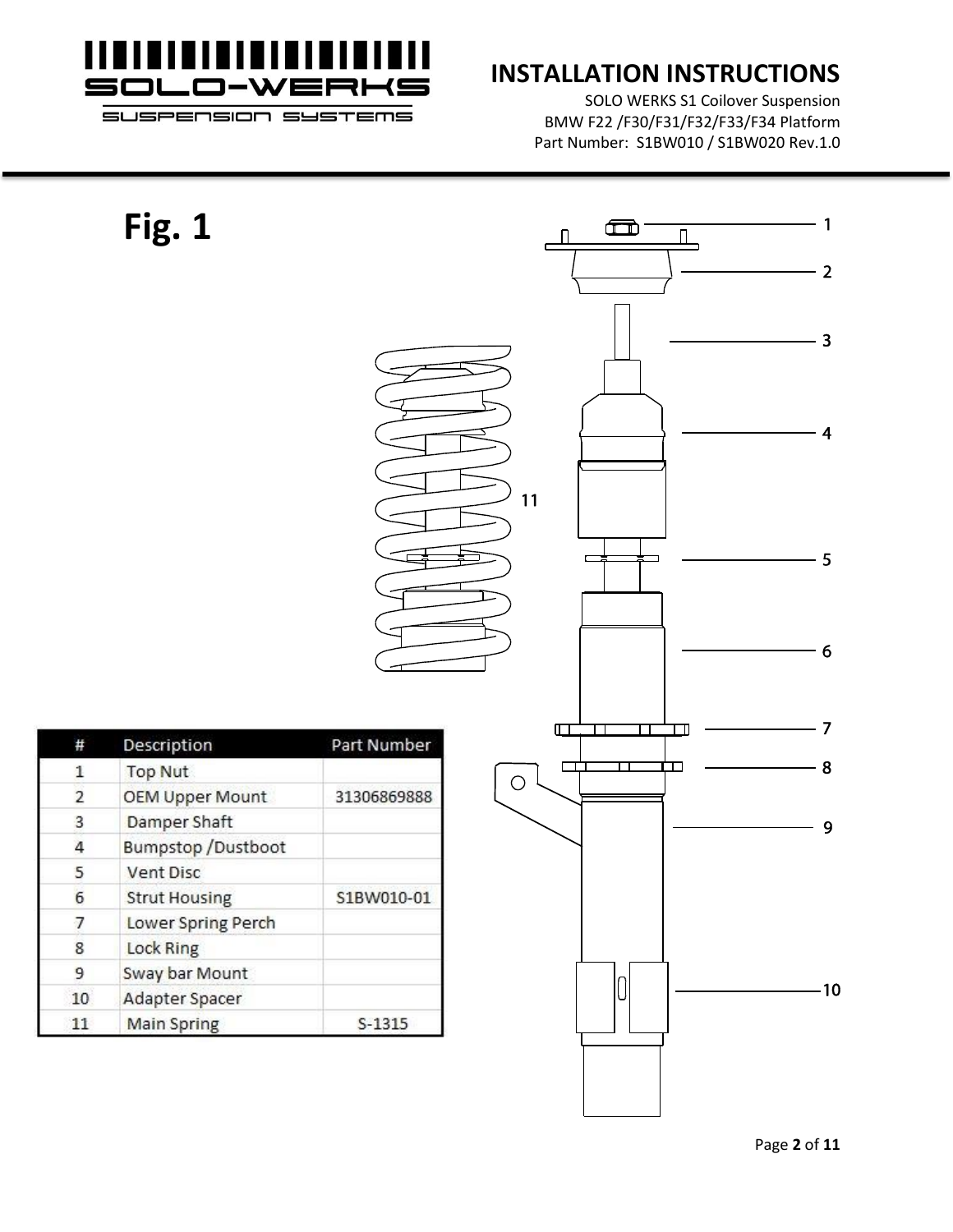

## **INSTALLATION INSTRUCTIONS**

SOLO WERKS S1 Coilover Suspension BMW F22 /F30/F31/F32/F33/F34 Platform Part Number: S1BW010 / S1BW020 Rev.1.0

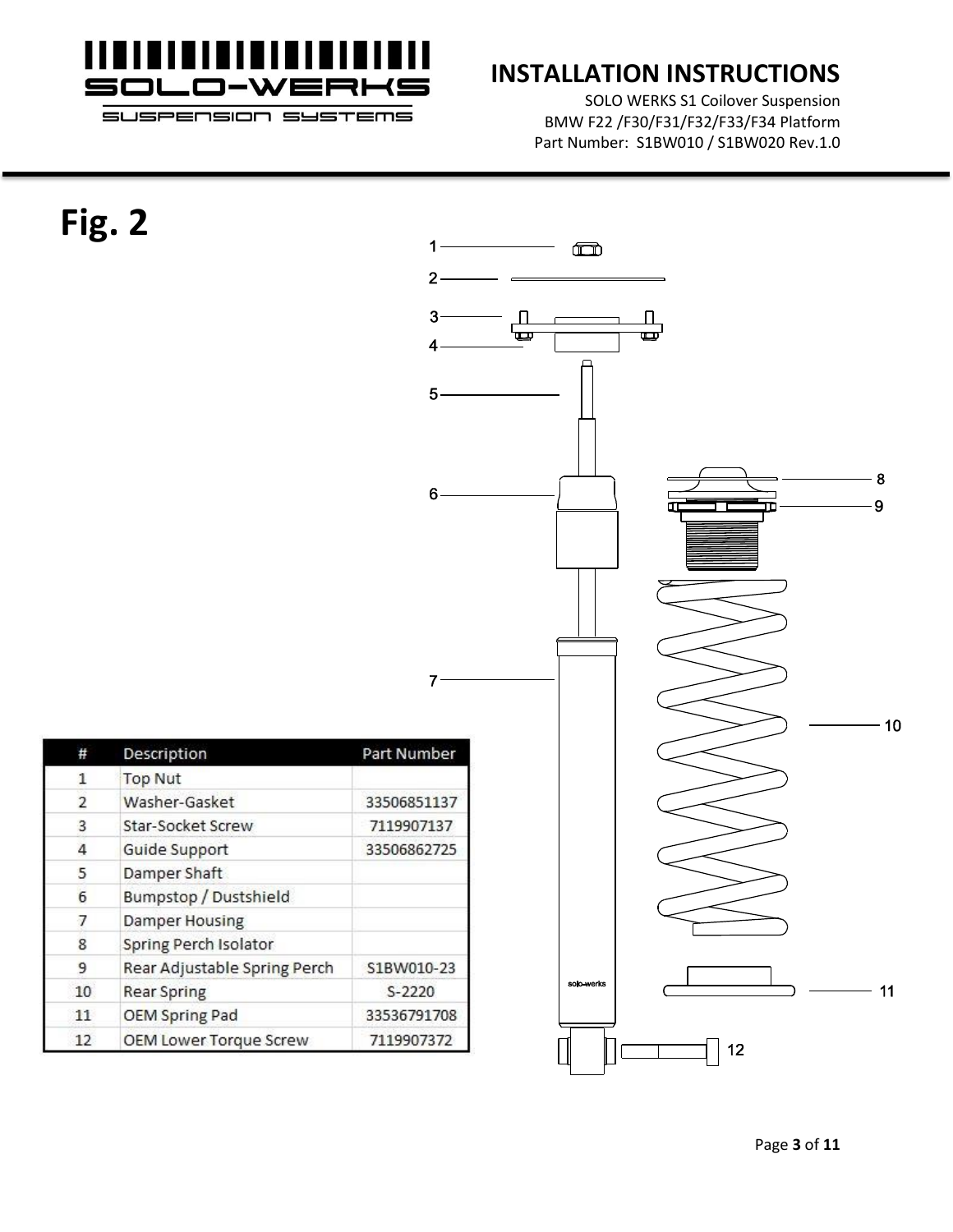

## **INSTALLATION INSTRUCTIONS**

SOLO WERKS S1 Coilover Suspension BMW F22 /F30/F31/F32/F33/F34 Platform Part Number: S1BW010 / S1BW020 Rev.1.0

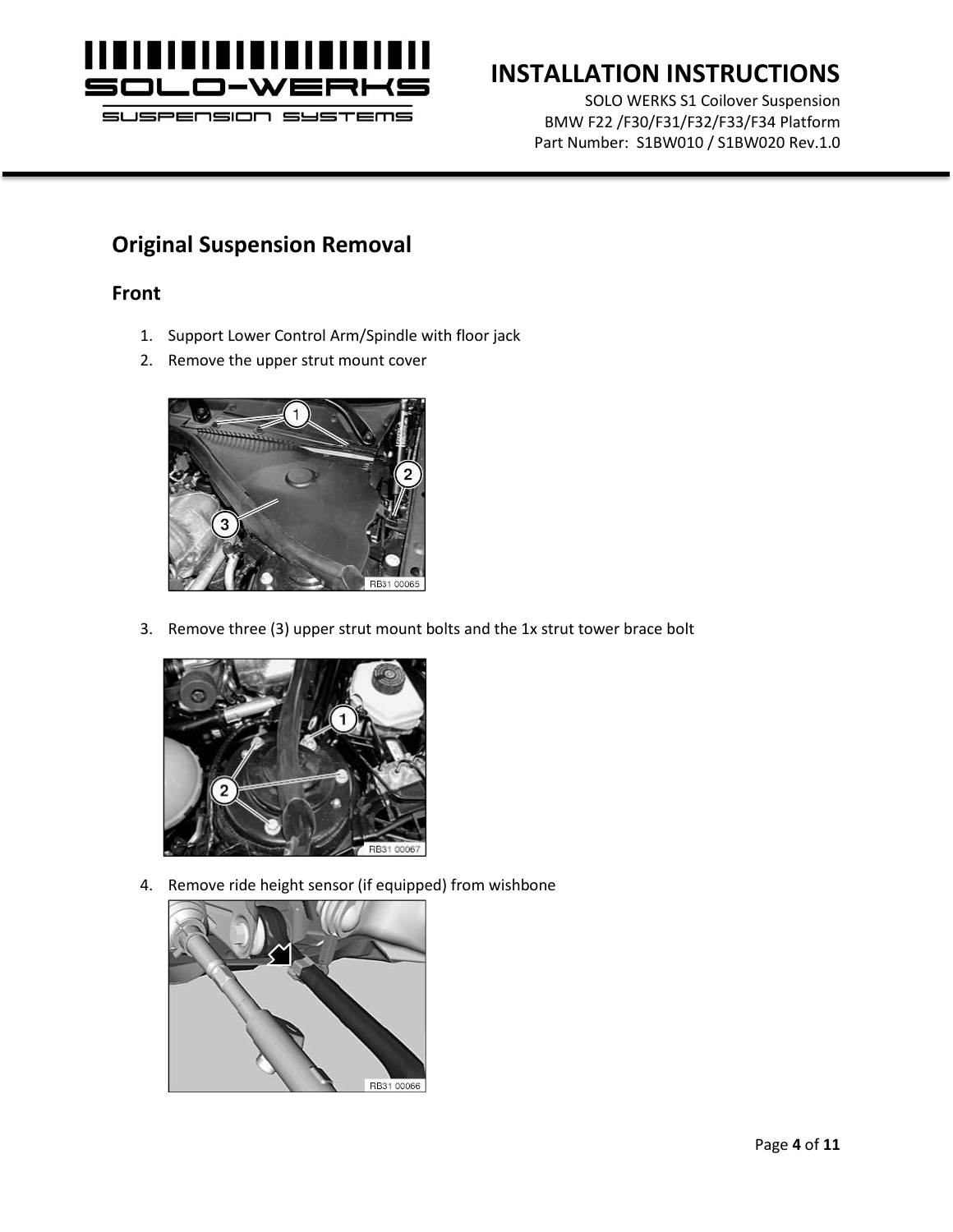

# **INSTALLATION INSTRUCTIONS**

SOLO WERKS S1 Coilover Suspension BMW F22 /F30/F31/F32/F33/F34 Platform Part Number: S1BW010 / S1BW020 Rev.1.0

### **Original Suspension Removal**

### **Front**

- 1. Support Lower Control Arm/Spindle with floor jack
- 2. Remove the upper strut mount cover



3. Remove three (3) upper strut mount bolts and the 1x strut tower brace bolt



4. Remove ride height sensor (if equipped) from wishbone

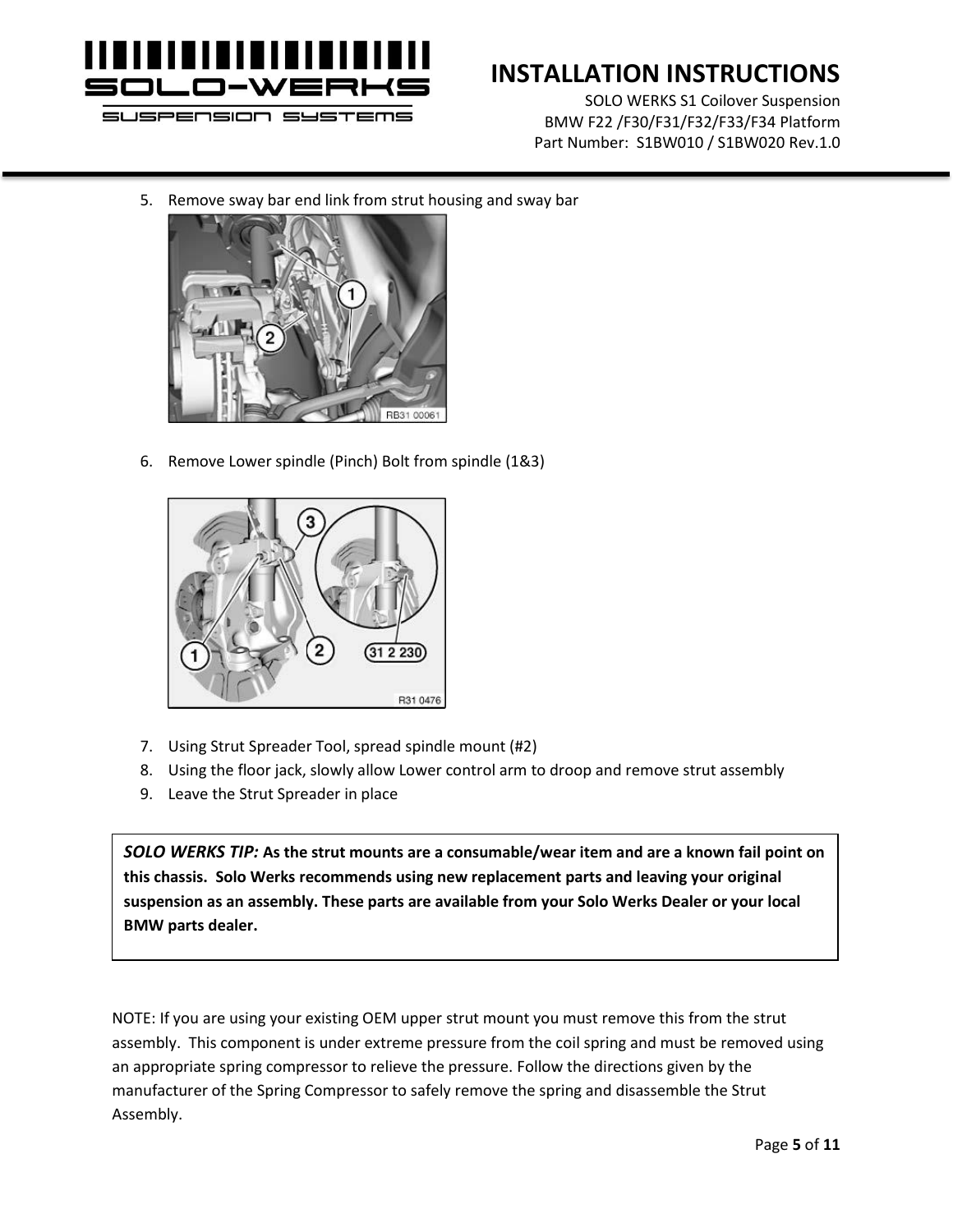

# **INSTALLATION INSTRUCTIONS**

SOLO WERKS S1 Coilover Suspension BMW F22 /F30/F31/F32/F33/F34 Platform Part Number: S1BW010 / S1BW020 Rev.1.0

5. Remove sway bar end link from strut housing and sway bar



6. Remove Lower spindle (Pinch) Bolt from spindle (1&3)



- 7. Using Strut Spreader Tool, spread spindle mount (#2)
- 8. Using the floor jack, slowly allow Lower control arm to droop and remove strut assembly
- 9. Leave the Strut Spreader in place

*SOLO WERKS TIP:* **As the strut mounts are a consumable/wear item and are a known fail point on this chassis. Solo Werks recommends using new replacement parts and leaving your original suspension as an assembly. These parts are available from your Solo Werks Dealer or your local BMW parts dealer.**

NOTE: If you are using your existing OEM upper strut mount you must remove this from the strut assembly. This component is under extreme pressure from the coil spring and must be removed using an appropriate spring compressor to relieve the pressure. Follow the directions given by the manufacturer of the Spring Compressor to safely remove the spring and disassemble the Strut Assembly.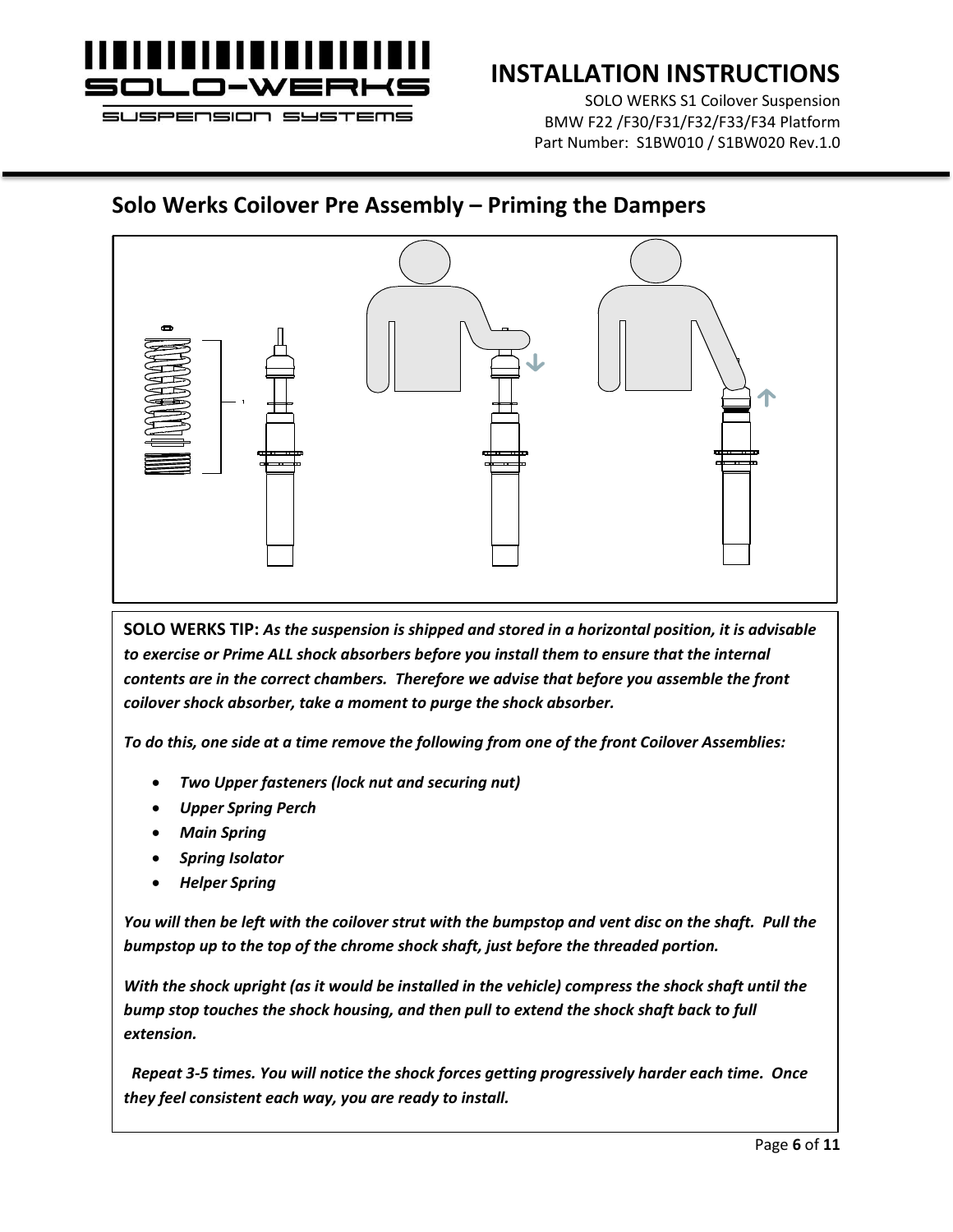

## **INSTALLATION INSTRUCTIONS**

SOLO WERKS S1 Coilover Suspension BMW F22 /F30/F31/F32/F33/F34 Platform Part Number: S1BW010 / S1BW020 Rev.1.0

### **Solo Werks Coilover Pre Assembly – Priming the Dampers**



**SOLO WERKS TIP:** *As the suspension is shipped and stored in a horizontal position, it is advisable to exercise or Prime ALL shock absorbers before you install them to ensure that the internal contents are in the correct chambers. Therefore we advise that before you assemble the front coilover shock absorber, take a moment to purge the shock absorber.* 

*To do this, one side at a time remove the following from one of the front Coilover Assemblies:*

- *Two Upper fasteners (lock nut and securing nut)*
- *Upper Spring Perch*
- *Main Spring*
- *Spring Isolator*
- *Helper Spring*

*You will then be left with the coilover strut with the bumpstop and vent disc on the shaft. Pull the bumpstop up to the top of the chrome shock shaft, just before the threaded portion.* 

*With the shock upright (as it would be installed in the vehicle) compress the shock shaft until the bump stop touches the shock housing, and then pull to extend the shock shaft back to full extension.*

 *Repeat 3-5 times. You will notice the shock forces getting progressively harder each time. Once they feel consistent each way, you are ready to install.*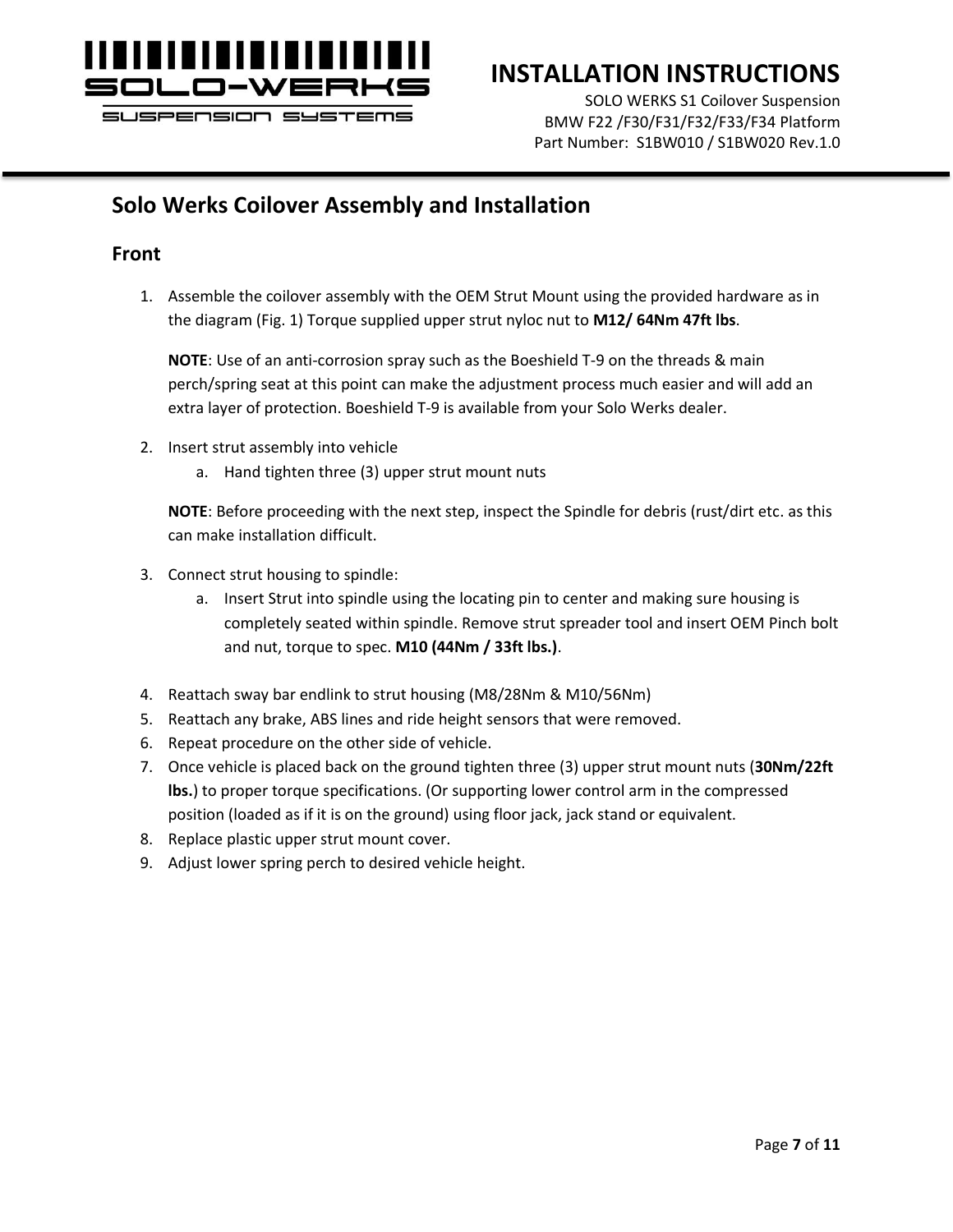

## **INSTALLATION INSTRUCTIONS**

SOLO WERKS S1 Coilover Suspension BMW F22 /F30/F31/F32/F33/F34 Platform Part Number: S1BW010 / S1BW020 Rev.1.0

### **Solo Werks Coilover Assembly and Installation**

### **Front**

1. Assemble the coilover assembly with the OEM Strut Mount using the provided hardware as in the diagram (Fig. 1) Torque supplied upper strut nyloc nut to **M12/ 64Nm 47ft lbs**.

**NOTE**: Use of an anti-corrosion spray such as the Boeshield T-9 on the threads & main perch/spring seat at this point can make the adjustment process much easier and will add an extra layer of protection. Boeshield T-9 is available from your Solo Werks dealer.

- 2. Insert strut assembly into vehicle
	- a. Hand tighten three (3) upper strut mount nuts

**NOTE**: Before proceeding with the next step, inspect the Spindle for debris (rust/dirt etc. as this can make installation difficult.

- 3. Connect strut housing to spindle:
	- a. Insert Strut into spindle using the locating pin to center and making sure housing is completely seated within spindle. Remove strut spreader tool and insert OEM Pinch bolt and nut, torque to spec. **M10 (44Nm / 33ft lbs.)**.
- 4. Reattach sway bar endlink to strut housing (M8/28Nm & M10/56Nm)
- 5. Reattach any brake, ABS lines and ride height sensors that were removed.
- 6. Repeat procedure on the other side of vehicle.
- 7. Once vehicle is placed back on the ground tighten three (3) upper strut mount nuts (**30Nm/22ft lbs.**) to proper torque specifications. (Or supporting lower control arm in the compressed position (loaded as if it is on the ground) using floor jack, jack stand or equivalent.
- 8. Replace plastic upper strut mount cover.
- 9. Adjust lower spring perch to desired vehicle height.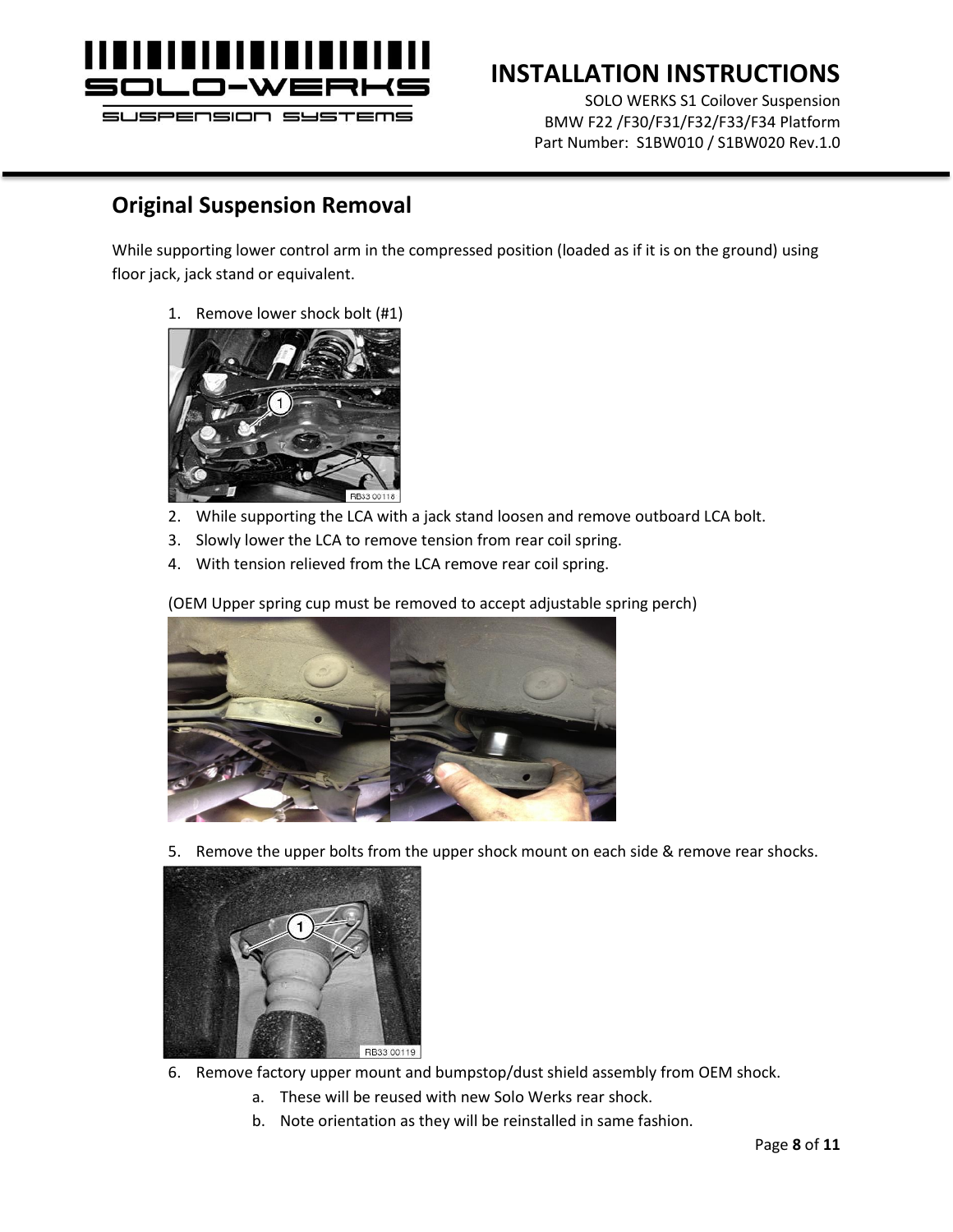

# **INSTALLATION INSTRUCTIONS**

SOLO WERKS S1 Coilover Suspension BMW F22 /F30/F31/F32/F33/F34 Platform Part Number: S1BW010 / S1BW020 Rev.1.0

### **Original Suspension Removal**

While supporting lower control arm in the compressed position (loaded as if it is on the ground) using floor jack, jack stand or equivalent.

1. Remove lower shock bolt (#1)



- 2. While supporting the LCA with a jack stand loosen and remove outboard LCA bolt.
- 3. Slowly lower the LCA to remove tension from rear coil spring.
- 4. With tension relieved from the LCA remove rear coil spring.

(OEM Upper spring cup must be removed to accept adjustable spring perch)



5. Remove the upper bolts from the upper shock mount on each side & remove rear shocks.



- 6. Remove factory upper mount and bumpstop/dust shield assembly from OEM shock.
	- a. These will be reused with new Solo Werks rear shock.
	- b. Note orientation as they will be reinstalled in same fashion.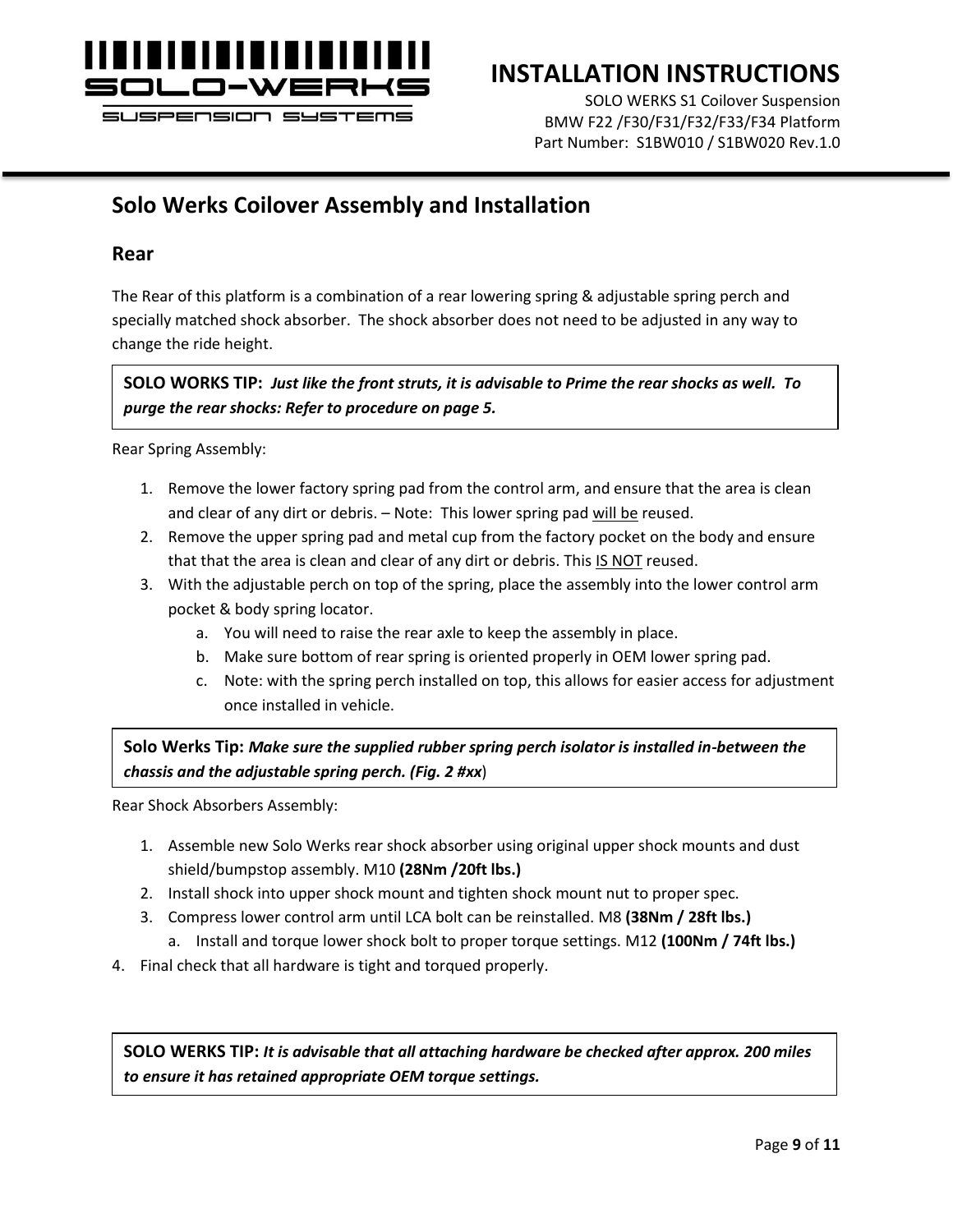

## **INSTALLATION INSTRUCTIONS**

SOLO WERKS S1 Coilover Suspension BMW F22 /F30/F31/F32/F33/F34 Platform Part Number: S1BW010 / S1BW020 Rev.1.0

### **Solo Werks Coilover Assembly and Installation**

#### **Rear**

The Rear of this platform is a combination of a rear lowering spring & adjustable spring perch and specially matched shock absorber. The shock absorber does not need to be adjusted in any way to change the ride height.

**SOLO WORKS TIP:** *Just like the front struts, it is advisable to Prime the rear shocks as well. To purge the rear shocks: Refer to procedure on page 5.*

Rear Spring Assembly:

- 1. Remove the lower factory spring pad from the control arm, and ensure that the area is clean and clear of any dirt or debris. – Note: This lower spring pad will be reused.
- 2. Remove the upper spring pad and metal cup from the factory pocket on the body and ensure that that the area is clean and clear of any dirt or debris. This IS NOT reused.
- 3. With the adjustable perch on top of the spring, place the assembly into the lower control arm pocket & body spring locator.
	- a. You will need to raise the rear axle to keep the assembly in place.
	- b. Make sure bottom of rear spring is oriented properly in OEM lower spring pad.
	- c. Note: with the spring perch installed on top, this allows for easier access for adjustment once installed in vehicle.

**Solo Werks Tip:** *Make sure the supplied rubber spring perch isolator is installed in-between the chassis and the adjustable spring perch. (Fig. 2 #xx*)

Rear Shock Absorbers Assembly:

- 1. Assemble new Solo Werks rear shock absorber using original upper shock mounts and dust shield/bumpstop assembly. M10 **(28Nm /20ft lbs.)**
- 2. Install shock into upper shock mount and tighten shock mount nut to proper spec.
- 3. Compress lower control arm until LCA bolt can be reinstalled. M8 **(38Nm / 28ft lbs.)**
	- a. Install and torque lower shock bolt to proper torque settings. M12 **(100Nm / 74ft lbs.)**
- 4. Final check that all hardware is tight and torqued properly.

**SOLO WERKS TIP:** *It is advisable that all attaching hardware be checked after approx. 200 miles to ensure it has retained appropriate OEM torque settings.*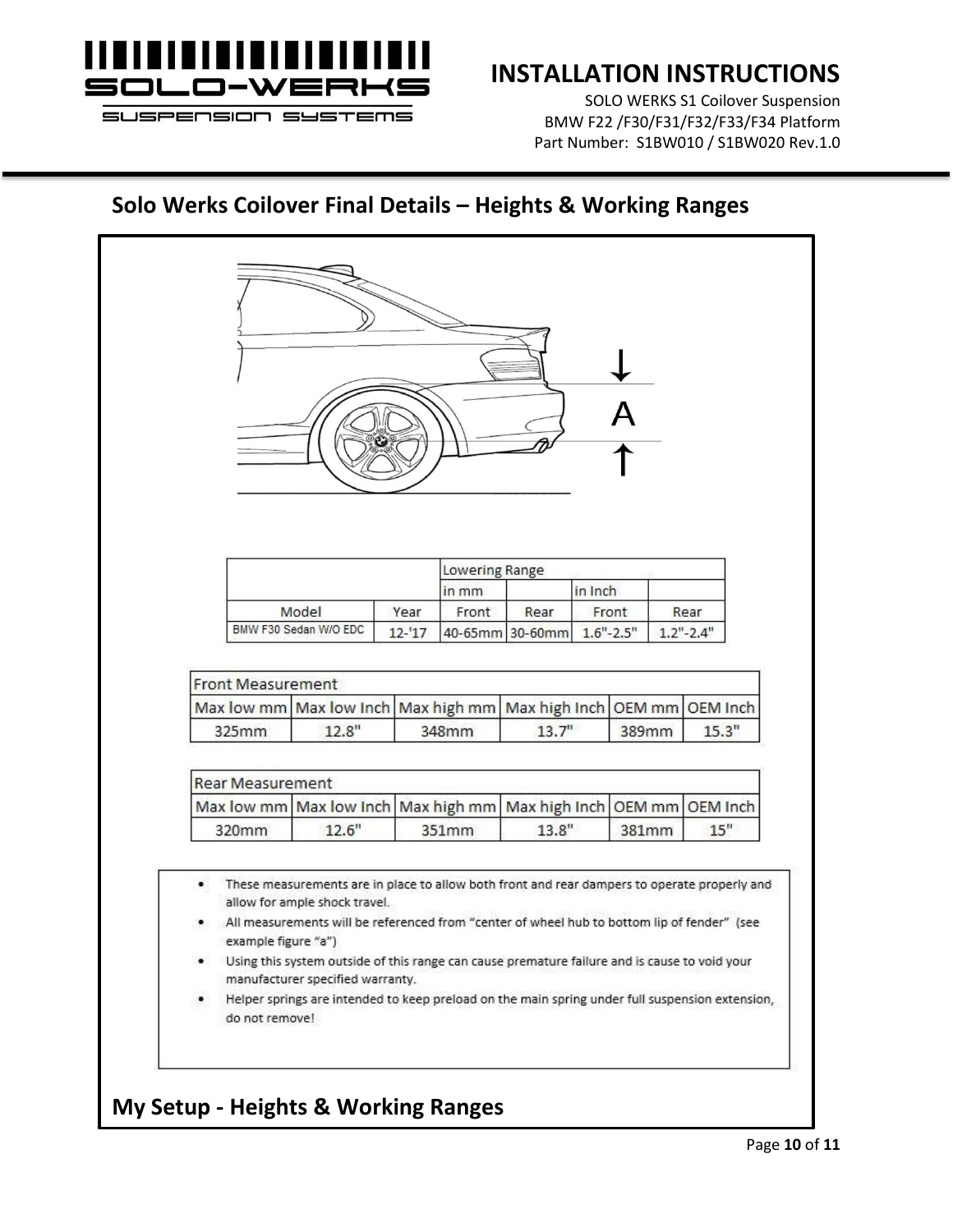

## **INSTALLATION INSTRUCTIONS**

SOLO WERKS S1 Coilover Suspension BMW F22 /F30/F31/F32/F33/F34 Platform Part Number: S1BW010 / S1BW020 Rev.1.0

## **Solo Werks Coilover Final Details – Heights & Working Ranges**

|                     |                       |           | Lowering Range       |                        |         |               |                        |
|---------------------|-----------------------|-----------|----------------------|------------------------|---------|---------------|------------------------|
|                     |                       |           | in mm                |                        | in Inch |               |                        |
|                     | Model                 | Year      | Front                | Rear                   |         | Front         | Rear                   |
|                     | BMW F30 Sedan W/O EDC | $12 - 17$ |                      | 40-65mm 30-60mm        |         | $1.6" - 2.5"$ | $1.2" - 2.4"$          |
| 325mm               | 12.8"                 |           | Max high mm<br>348mm | Max high Inch<br>13.7" |         | 389mm         | 15.3"                  |
|                     |                       |           |                      |                        |         |               |                        |
| Rear Measurement    |                       |           |                      |                        |         |               |                        |
| Max low mm<br>320mm | Max low Inch<br>12.6" |           | Max high mm<br>351mm | Max high Inch<br>13.8" |         | 381mm         | OEM mm OEM Inch<br>15" |